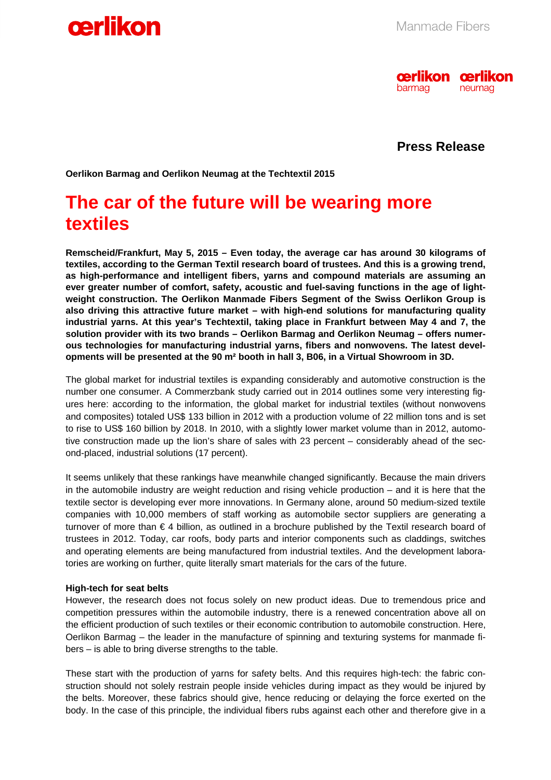



 **Press Release**

**Oerlikon Barmag and Oerlikon Neumag at the Techtextil 2015** 

# **The car of the future will be wearing more textiles**

**Remscheid/Frankfurt, May 5, 2015 – Even today, the average car has around 30 kilograms of textiles, according to the German Textil research board of trustees. And this is a growing trend, as high-performance and intelligent fibers, yarns and compound materials are assuming an ever greater number of comfort, safety, acoustic and fuel-saving functions in the age of lightweight construction. The Oerlikon Manmade Fibers Segment of the Swiss Oerlikon Group is also driving this attractive future market – with high-end solutions for manufacturing quality industrial yarns. At this year's Techtextil, taking place in Frankfurt between May 4 and 7, the solution provider with its two brands – Oerlikon Barmag and Oerlikon Neumag – offers numerous technologies for manufacturing industrial yarns, fibers and nonwovens. The latest developments will be presented at the 90 m² booth in hall 3, B06, in a Virtual Showroom in 3D.** 

The global market for industrial textiles is expanding considerably and automotive construction is the number one consumer. A Commerzbank study carried out in 2014 outlines some very interesting figures here: according to the information, the global market for industrial textiles (without nonwovens and composites) totaled US\$ 133 billion in 2012 with a production volume of 22 million tons and is set to rise to US\$ 160 billion by 2018. In 2010, with a slightly lower market volume than in 2012, automotive construction made up the lion's share of sales with 23 percent – considerably ahead of the second-placed, industrial solutions (17 percent).

It seems unlikely that these rankings have meanwhile changed significantly. Because the main drivers in the automobile industry are weight reduction and rising vehicle production – and it is here that the textile sector is developing ever more innovations. In Germany alone, around 50 medium-sized textile companies with 10,000 members of staff working as automobile sector suppliers are generating a turnover of more than € 4 billion, as outlined in a brochure published by the Textil research board of trustees in 2012. Today, car roofs, body parts and interior components such as claddings, switches and operating elements are being manufactured from industrial textiles. And the development laboratories are working on further, quite literally smart materials for the cars of the future.

#### **High-tech for seat belts**

However, the research does not focus solely on new product ideas. Due to tremendous price and competition pressures within the automobile industry, there is a renewed concentration above all on the efficient production of such textiles or their economic contribution to automobile construction. Here, Oerlikon Barmag – the leader in the manufacture of spinning and texturing systems for manmade fibers – is able to bring diverse strengths to the table.

These start with the production of yarns for safety belts. And this requires high-tech: the fabric construction should not solely restrain people inside vehicles during impact as they would be injured by the belts. Moreover, these fabrics should give, hence reducing or delaying the force exerted on the body. In the case of this principle, the individual fibers rubs against each other and therefore give in a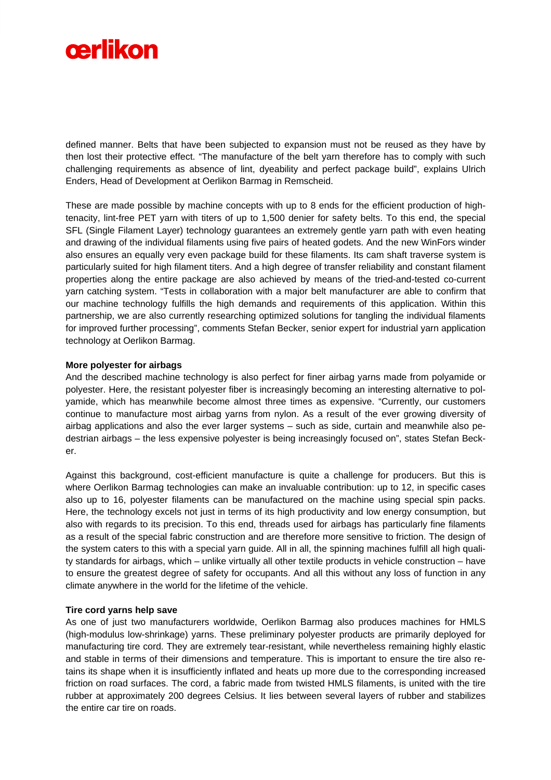

defined manner. Belts that have been subjected to expansion must not be reused as they have by then lost their protective effect. "The manufacture of the belt yarn therefore has to comply with such challenging requirements as absence of lint, dyeability and perfect package build", explains Ulrich Enders, Head of Development at Oerlikon Barmag in Remscheid.

These are made possible by machine concepts with up to 8 ends for the efficient production of hightenacity, lint-free PET yarn with titers of up to 1,500 denier for safety belts. To this end, the special SFL (Single Filament Layer) technology guarantees an extremely gentle yarn path with even heating and drawing of the individual filaments using five pairs of heated godets. And the new WinFors winder also ensures an equally very even package build for these filaments. Its cam shaft traverse system is particularly suited for high filament titers. And a high degree of transfer reliability and constant filament properties along the entire package are also achieved by means of the tried-and-tested co-current yarn catching system. "Tests in collaboration with a major belt manufacturer are able to confirm that our machine technology fulfills the high demands and requirements of this application. Within this partnership, we are also currently researching optimized solutions for tangling the individual filaments for improved further processing", comments Stefan Becker, senior expert for industrial yarn application technology at Oerlikon Barmag.

# **More polyester for airbags**

And the described machine technology is also perfect for finer airbag yarns made from polyamide or polyester. Here, the resistant polyester fiber is increasingly becoming an interesting alternative to polyamide, which has meanwhile become almost three times as expensive. "Currently, our customers continue to manufacture most airbag yarns from nylon. As a result of the ever growing diversity of airbag applications and also the ever larger systems – such as side, curtain and meanwhile also pedestrian airbags – the less expensive polyester is being increasingly focused on", states Stefan Becker.

Against this background, cost-efficient manufacture is quite a challenge for producers. But this is where Oerlikon Barmag technologies can make an invaluable contribution: up to 12, in specific cases also up to 16, polyester filaments can be manufactured on the machine using special spin packs. Here, the technology excels not just in terms of its high productivity and low energy consumption, but also with regards to its precision. To this end, threads used for airbags has particularly fine filaments as a result of the special fabric construction and are therefore more sensitive to friction. The design of the system caters to this with a special yarn guide. All in all, the spinning machines fulfill all high quality standards for airbags, which – unlike virtually all other textile products in vehicle construction – have to ensure the greatest degree of safety for occupants. And all this without any loss of function in any climate anywhere in the world for the lifetime of the vehicle.

# **Tire cord yarns help save**

As one of just two manufacturers worldwide, Oerlikon Barmag also produces machines for HMLS (high-modulus low-shrinkage) yarns. These preliminary polyester products are primarily deployed for manufacturing tire cord. They are extremely tear-resistant, while nevertheless remaining highly elastic and stable in terms of their dimensions and temperature. This is important to ensure the tire also retains its shape when it is insufficiently inflated and heats up more due to the corresponding increased friction on road surfaces. The cord, a fabric made from twisted HMLS filaments, is united with the tire rubber at approximately 200 degrees Celsius. It lies between several layers of rubber and stabilizes the entire car tire on roads.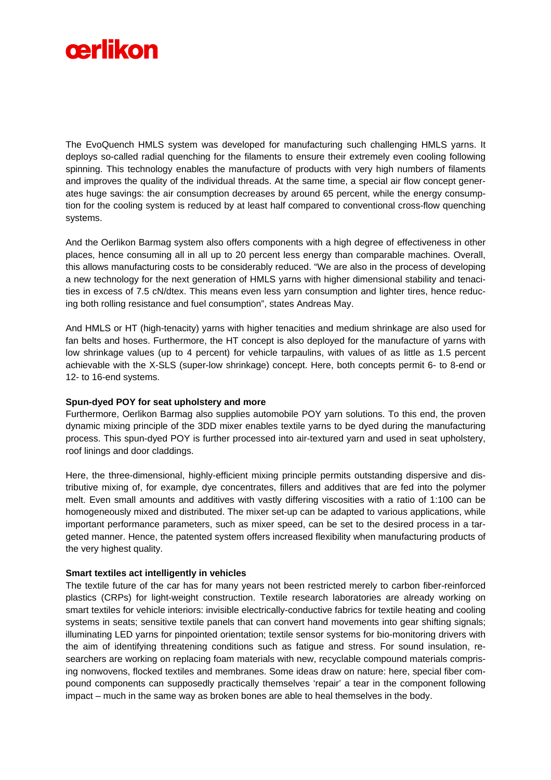

The EvoQuench HMLS system was developed for manufacturing such challenging HMLS yarns. It deploys so-called radial quenching for the filaments to ensure their extremely even cooling following spinning. This technology enables the manufacture of products with very high numbers of filaments and improves the quality of the individual threads. At the same time, a special air flow concept generates huge savings: the air consumption decreases by around 65 percent, while the energy consumption for the cooling system is reduced by at least half compared to conventional cross-flow quenching systems.

And the Oerlikon Barmag system also offers components with a high degree of effectiveness in other places, hence consuming all in all up to 20 percent less energy than comparable machines. Overall, this allows manufacturing costs to be considerably reduced. "We are also in the process of developing a new technology for the next generation of HMLS yarns with higher dimensional stability and tenacities in excess of 7.5 cN/dtex. This means even less yarn consumption and lighter tires, hence reducing both rolling resistance and fuel consumption", states Andreas May.

And HMLS or HT (high-tenacity) yarns with higher tenacities and medium shrinkage are also used for fan belts and hoses. Furthermore, the HT concept is also deployed for the manufacture of yarns with low shrinkage values (up to 4 percent) for vehicle tarpaulins, with values of as little as 1.5 percent achievable with the X-SLS (super-low shrinkage) concept. Here, both concepts permit 6- to 8-end or 12- to 16-end systems.

# **Spun-dyed POY for seat upholstery and more**

Furthermore, Oerlikon Barmag also supplies automobile POY yarn solutions. To this end, the proven dynamic mixing principle of the 3DD mixer enables textile yarns to be dyed during the manufacturing process. This spun-dyed POY is further processed into air-textured yarn and used in seat upholstery, roof linings and door claddings.

Here, the three-dimensional, highly-efficient mixing principle permits outstanding dispersive and distributive mixing of, for example, dye concentrates, fillers and additives that are fed into the polymer melt. Even small amounts and additives with vastly differing viscosities with a ratio of 1:100 can be homogeneously mixed and distributed. The mixer set-up can be adapted to various applications, while important performance parameters, such as mixer speed, can be set to the desired process in a targeted manner. Hence, the patented system offers increased flexibility when manufacturing products of the very highest quality.

#### **Smart textiles act intelligently in vehicles**

The textile future of the car has for many years not been restricted merely to carbon fiber-reinforced plastics (CRPs) for light-weight construction. Textile research laboratories are already working on smart textiles for vehicle interiors: invisible electrically-conductive fabrics for textile heating and cooling systems in seats; sensitive textile panels that can convert hand movements into gear shifting signals; illuminating LED yarns for pinpointed orientation; textile sensor systems for bio-monitoring drivers with the aim of identifying threatening conditions such as fatigue and stress. For sound insulation, researchers are working on replacing foam materials with new, recyclable compound materials comprising nonwovens, flocked textiles and membranes. Some ideas draw on nature: here, special fiber compound components can supposedly practically themselves 'repair' a tear in the component following impact – much in the same way as broken bones are able to heal themselves in the body.